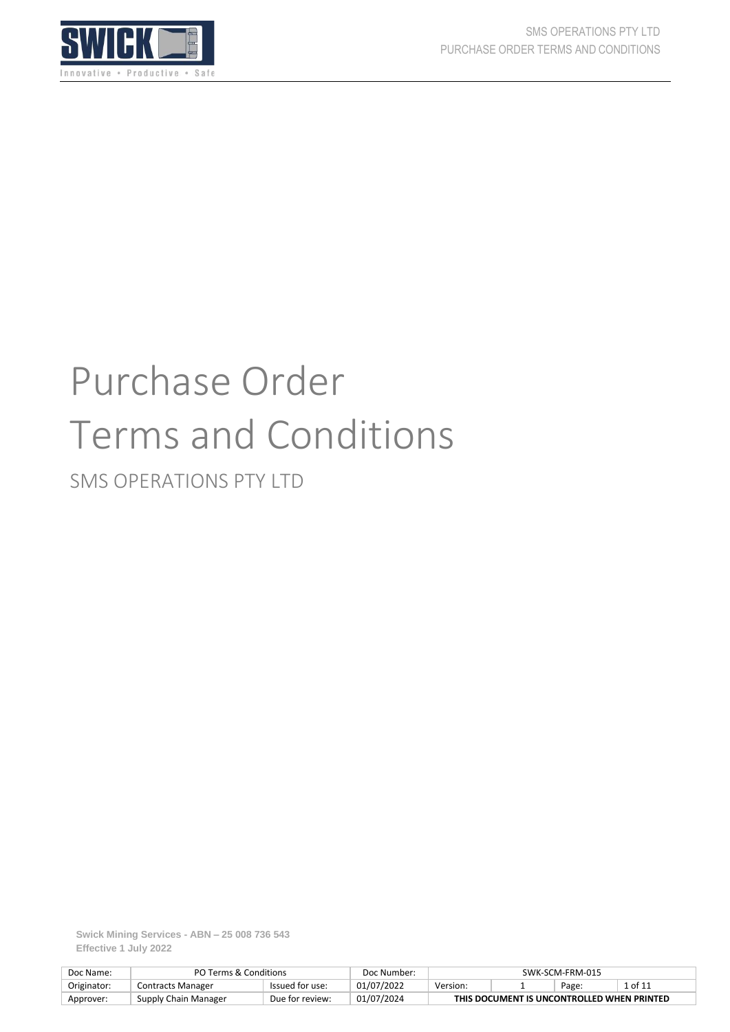

# Purchase Order Terms and Conditions

SMS OPERATIONS PTY LTD

**Swick Mining Services - ABN – 25 008 736 543 Effective 1 July 2022**

| Doc Name:   | PO Terms & Conditions    |                 | Doc Number: | SWK-SCM-FRM-015                            |  |  |  |  |
|-------------|--------------------------|-----------------|-------------|--------------------------------------------|--|--|--|--|
| Originator: | <b>Contracts Manager</b> | Issued for use: | 01/07/2022  | 1 of 11<br>Version:<br>Page:               |  |  |  |  |
| Approver:   | Supply Chain Manager     | Due for review: | 01/07/2024  | THIS DOCUMENT IS UNCONTROLLED WHEN PRINTED |  |  |  |  |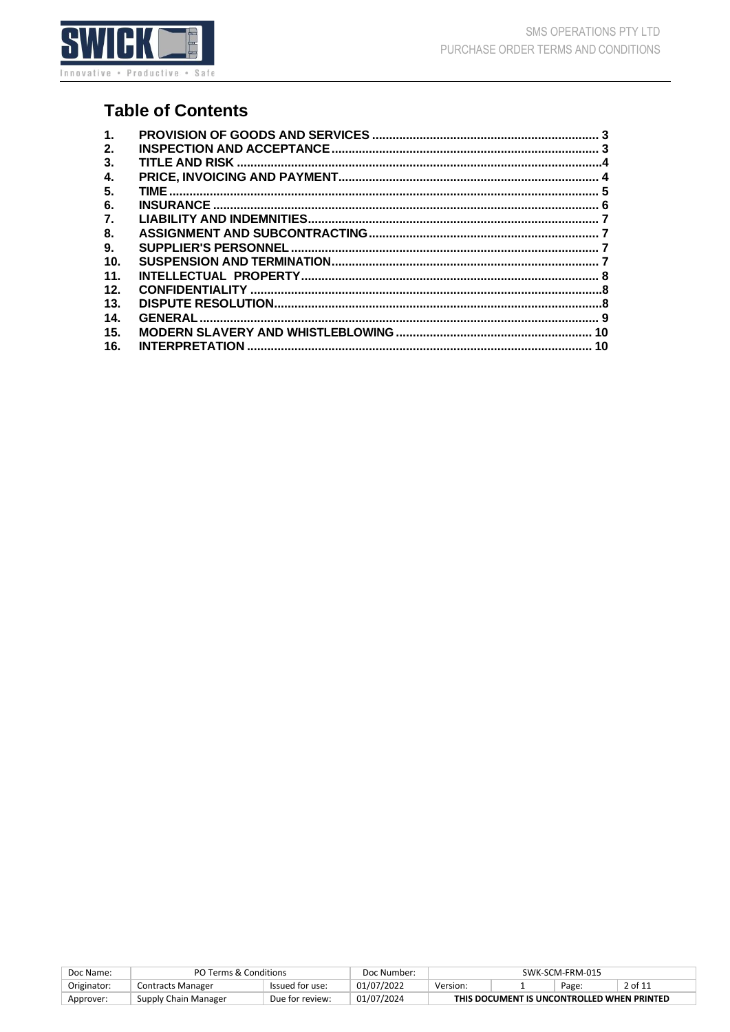

# **Table of Contents**

| $\mathbf 1$ . |  |
|---------------|--|
| 2.            |  |
| 3.            |  |
| 4.            |  |
| 5.            |  |
| 6.            |  |
| 7.            |  |
| 8.            |  |
| 9.            |  |
| 10.           |  |
| 11.           |  |
| 12.           |  |
| 13.           |  |
| 14.           |  |
| 15.           |  |
| 16.           |  |
|               |  |

| Doc Name:   | PO Terms & Conditions |                 | Doc Number: | SWK-SCM-FRM-015                            |  |  |  |  |
|-------------|-----------------------|-----------------|-------------|--------------------------------------------|--|--|--|--|
| Originator: | Contracts Manager     | Issued for use: | 01/07/2022  | 2 of 11<br>Version:<br>Page:               |  |  |  |  |
| Approver:   | Supply Chain Manager  | Due for review: | 01/07/2024  | THIS DOCUMENT IS UNCONTROLLED WHEN PRINTED |  |  |  |  |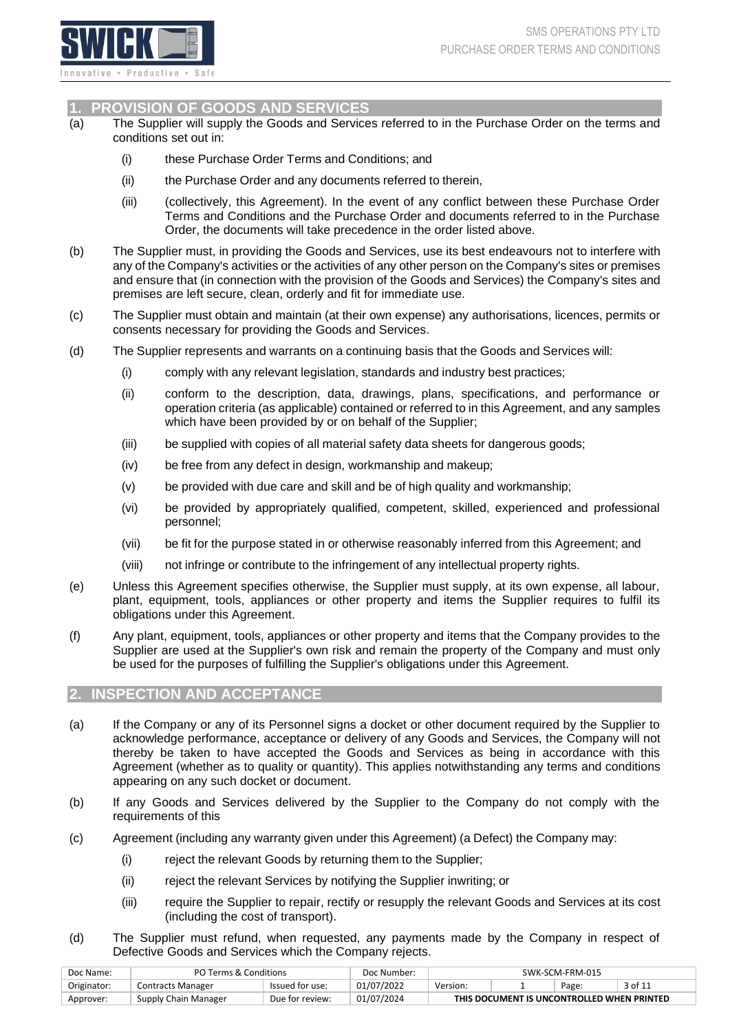

#### <span id="page-2-2"></span><span id="page-2-0"></span>**1. PROVISION OF GOODS AND SERVICES**

- (a) The Supplier will supply the Goods and Services referred to in the Purchase Order on the terms and conditions set out in:
	- (i) these Purchase Order Terms and Conditions; and
	- (ii) the Purchase Order and any documents referred to therein,
	- (iii) (collectively, this Agreement). In the event of any conflict between these Purchase Order Terms and Conditions and the Purchase Order and documents referred to in the Purchase Order, the documents will take precedence in the order listed above.
- (b) The Supplier must, in providing the Goods and Services, use its best endeavours not to interfere with any of the Company's activities or the activities of any other person on the Company's sites or premises and ensure that (in connection with the provision of the Goods and Services) the Company's sites and premises are left secure, clean, orderly and fit for immediate use.
- (c) The Supplier must obtain and maintain (at their own expense) any authorisations, licences, permits or consents necessary for providing the Goods and Services.
- (d) The Supplier represents and warrants on a continuing basis that the Goods and Services will:
	- (i) comply with any relevant legislation, standards and industry best practices;
	- (ii) conform to the description, data, drawings, plans, specifications, and performance or operation criteria (as applicable) contained or referred to in this Agreement, and any samples which have been provided by or on behalf of the Supplier;
	- (iii) be supplied with copies of all material safety data sheets for dangerous goods;
	- (iv) be free from any defect in design, workmanship and makeup;
	- (v) be provided with due care and skill and be of high quality and workmanship;
	- (vi) be provided by appropriately qualified, competent, skilled, experienced and professional personnel;
	- (vii) be fit for the purpose stated in or otherwise reasonably inferred from this Agreement; and
	- (viii) not infringe or contribute to the infringement of any intellectual property rights.
- (e) Unless this Agreement specifies otherwise, the Supplier must supply, at its own expense, all labour, plant, equipment, tools, appliances or other property and items the Supplier requires to fulfil its obligations under this Agreement.
- (f) Any plant, equipment, tools, appliances or other property and items that the Company provides to the Supplier are used at the Supplier's own risk and remain the property of the Company and must only be used for the purposes of fulfilling the Supplier's obligations under this Agreement.

#### <span id="page-2-1"></span>**2. INSPECTION AND ACCEPTANCE**

- (a) If the Company or any of its Personnel signs a docket or other document required by the Supplier to acknowledge performance, acceptance or delivery of any Goods and Services, the Company will not thereby be taken to have accepted the Goods and Services as being in accordance with this Agreement (whether as to quality or quantity). This applies notwithstanding any terms and conditions appearing on any such docket or document.
- <span id="page-2-3"></span>(b) If any Goods and Services delivered by the Supplier to the Company do not comply with the requirements of this
- (c) Agreement (including any warranty given under this Agreement) (a Defect) the Company may:
	- (i) reject the relevant Goods by returning them to the Supplier;
	- (ii) reject the relevant Services by notifying the Supplier inwriting; or
	- (iii) require the Supplier to repair, rectify or resupply the relevant Goods and Services at its cost (including the cost of transport).
- (d) The Supplier must refund, when requested, any payments made by the Company in respect of Defective Goods and Services which the Company rejects.

| Doc Name:   | PO Terms & Conditions |                 | Doc Number: | SWK-SCM-FRM-015                            |  |  |  |  |
|-------------|-----------------------|-----------------|-------------|--------------------------------------------|--|--|--|--|
| Originator: | Contracts Manager     | Issued for use: | 01/07/2022  | 3 of 11<br>Version:<br>Page:               |  |  |  |  |
| Approver:   | Supply Chain Manager  | Due for review: | 01/07/2024  | THIS DOCUMENT IS UNCONTROLLED WHEN PRINTED |  |  |  |  |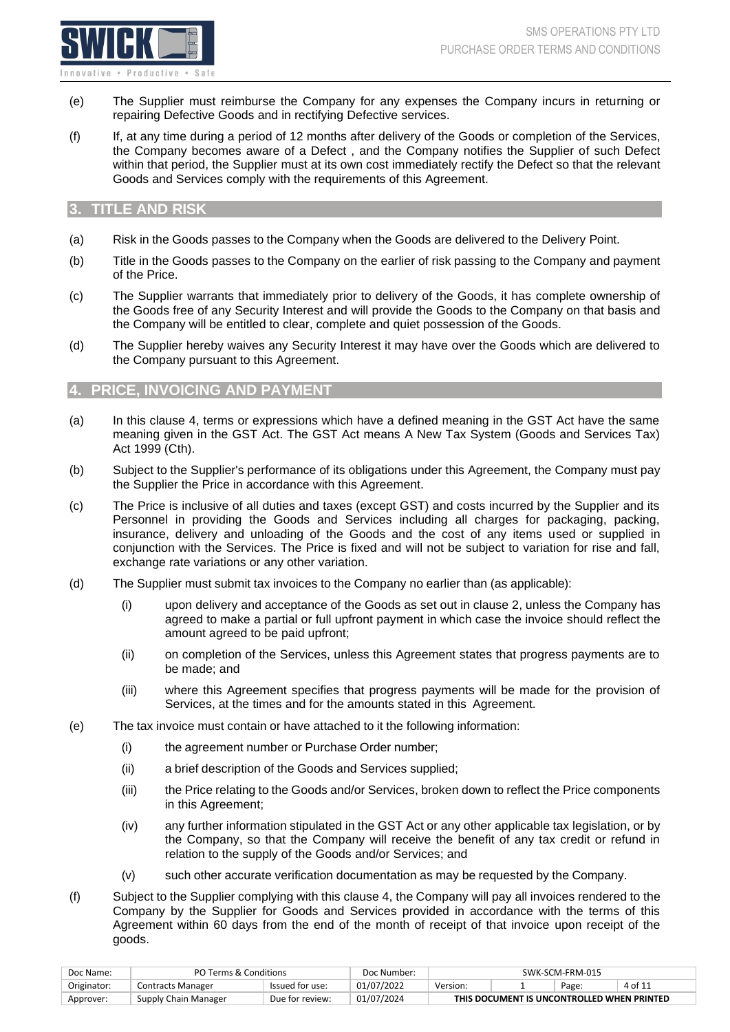

- (e) The Supplier must reimburse the Company for any expenses the Company incurs in returning or repairing Defective Goods and in rectifying Defective services.
- (f) If, at any time during a period of 12 months after delivery of the Goods or completion of the Services, the Company becomes aware of a Defect , and the Company notifies the Supplier of such Defect within that period, the Supplier must at its own cost immediately rectify the Defect so that the relevant Goods and Services comply with the requirements of this Agreement.

# <span id="page-3-0"></span>**3. TITLE AND RISK**

- (a) Risk in the Goods passes to the Company when the Goods are delivered to the Delivery Point.
- (b) Title in the Goods passes to the Company on the earlier of risk passing to the Company and payment of the Price.
- (c) The Supplier warrants that immediately prior to delivery of the Goods, it has complete ownership of the Goods free of any Security Interest and will provide the Goods to the Company on that basis and the Company will be entitled to clear, complete and quiet possession of the Goods.
- (d) The Supplier hereby waives any Security Interest it may have over the Goods which are delivered to the Company pursuant to this Agreement.

#### <span id="page-3-1"></span>**4. PRICE, INVOICING AND PAYMENT**

- (a) In this clause 4, terms or expressions which have a defined meaning in the GST Act have the same meaning given in the GST Act. The GST Act means A New Tax System (Goods and Services Tax) Act 1999 (Cth).
- (b) Subject to the Supplier's performance of its obligations under this Agreement, the Company must pay the Supplier the Price in accordance with this Agreement.
- (c) The Price is inclusive of all duties and taxes (except GST) and costs incurred by the Supplier and its Personnel in providing the Goods and Services including all charges for packaging, packing, insurance, delivery and unloading of the Goods and the cost of any items used or supplied in conjunction with the Services. The Price is fixed and will not be subject to variation for rise and fall, exchange rate variations or any other variation.
- (d) The Supplier must submit tax invoices to the Company no earlier than (as applicable):
	- (i) upon delivery and acceptance of the Goods as set out in clause 2, unless the Company has agreed to make a partial or full upfront payment in which case the invoice should reflect the amount agreed to be paid upfront;
	- (ii) on completion of the Services, unless this Agreement states that progress payments are to be made; and
	- (iii) where this Agreement specifies that progress payments will be made for the provision of Services, at the times and for the amounts stated in this Agreement.
- (e) The tax invoice must contain or have attached to it the following information:
	- (i) the agreement number or Purchase Order number;
	- (ii) a brief description of the Goods and Services supplied;
	- (iii) the Price relating to the Goods and/or Services, broken down to reflect the Price components in this Agreement;
	- (iv) any further information stipulated in the GST Act or any other applicable tax legislation, or by the Company, so that the Company will receive the benefit of any tax credit or refund in relation to the supply of the Goods and/or Services; and
	- (v) such other accurate verification documentation as may be requested by the Company.
- (f) Subject to the Supplier complying with this clause 4, the Company will pay all invoices rendered to the Company by the Supplier for Goods and Services provided in accordance with the terms of this Agreement within 60 days from the end of the month of receipt of that invoice upon receipt of the goods.

| Doc Name:   | PO Terms & Conditions |                 | Doc Number: | SWK-SCM-FRM-015                            |  |       |         |  |
|-------------|-----------------------|-----------------|-------------|--------------------------------------------|--|-------|---------|--|
| Originator: | Contracts Manager     | Issued for use: | 01/07/2022  | Version:                                   |  | Page: | 4 of 11 |  |
| Approver:   | Supply Chain Manager  | Due for review: | 01/07/2024  | THIS DOCUMENT IS UNCONTROLLED WHEN PRINTED |  |       |         |  |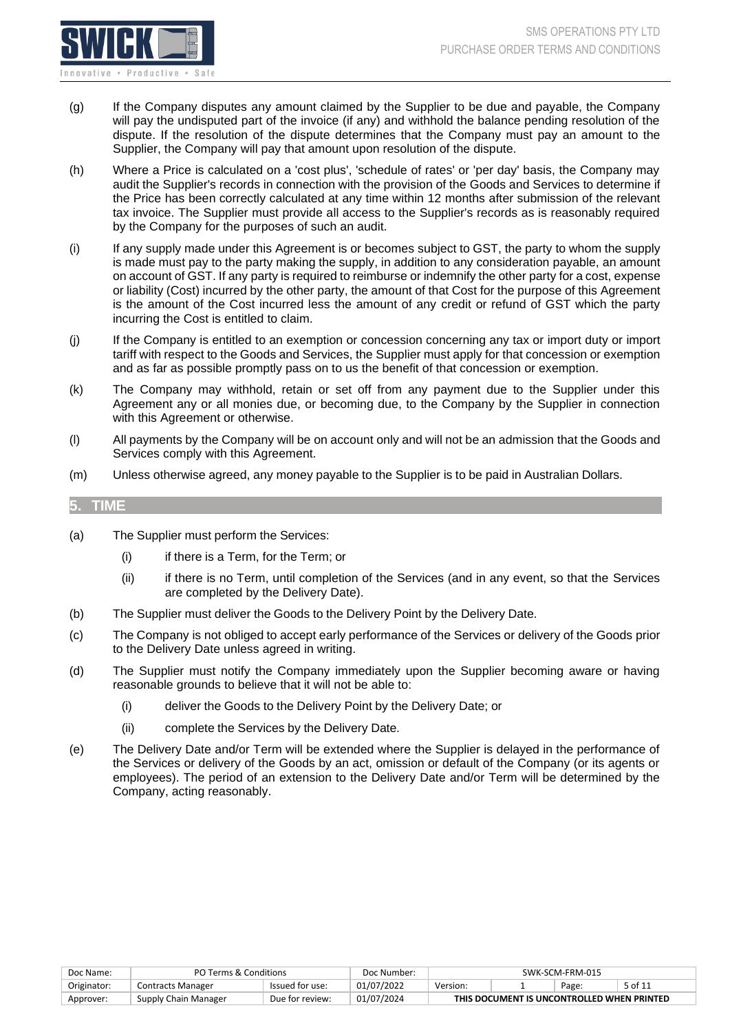

- (g) If the Company disputes any amount claimed by the Supplier to be due and payable, the Company will pay the undisputed part of the invoice (if any) and withhold the balance pending resolution of the dispute. If the resolution of the dispute determines that the Company must pay an amount to the Supplier, the Company will pay that amount upon resolution of the dispute.
- (h) Where a Price is calculated on a 'cost plus', 'schedule of rates' or 'per day' basis, the Company may audit the Supplier's records in connection with the provision of the Goods and Services to determine if the Price has been correctly calculated at any time within 12 months after submission of the relevant tax invoice. The Supplier must provide all access to the Supplier's records as is reasonably required by the Company for the purposes of such an audit.
- (i) If any supply made under this Agreement is or becomes subject to GST, the party to whom the supply is made must pay to the party making the supply, in addition to any consideration payable, an amount on account of GST. If any party is required to reimburse or indemnify the other party for a cost, expense or liability (Cost) incurred by the other party, the amount of that Cost for the purpose of this Agreement is the amount of the Cost incurred less the amount of any credit or refund of GST which the party incurring the Cost is entitled to claim.
- (j) If the Company is entitled to an exemption or concession concerning any tax or import duty or import tariff with respect to the Goods and Services, the Supplier must apply for that concession or exemption and as far as possible promptly pass on to us the benefit of that concession or exemption.
- (k) The Company may withhold, retain or set off from any payment due to the Supplier under this Agreement any or all monies due, or becoming due, to the Company by the Supplier in connection with this Agreement or otherwise.
- (l) All payments by the Company will be on account only and will not be an admission that the Goods and Services comply with this Agreement.
- (m) Unless otherwise agreed, any money payable to the Supplier is to be paid in Australian Dollars.

#### <span id="page-4-0"></span>**5. TIME**

- (a) The Supplier must perform the Services:
	- (i) if there is a Term, for the Term; or
	- (ii) if there is no Term, until completion of the Services (and in any event, so that the Services are completed by the Delivery Date).
- (b) The Supplier must deliver the Goods to the Delivery Point by the Delivery Date.
- (c) The Company is not obliged to accept early performance of the Services or delivery of the Goods prior to the Delivery Date unless agreed in writing.
- (d) The Supplier must notify the Company immediately upon the Supplier becoming aware or having reasonable grounds to believe that it will not be able to:
	- (i) deliver the Goods to the Delivery Point by the Delivery Date; or
	- (ii) complete the Services by the Delivery Date.
- <span id="page-4-1"></span>(e) The Delivery Date and/or Term will be extended where the Supplier is delayed in the performance of the Services or delivery of the Goods by an act, omission or default of the Company (or its agents or employees). The period of an extension to the Delivery Date and/or Term will be determined by the Company, acting reasonably.

| Doc Name:   | PO Terms & Conditions |                 | Doc Number: | SWK-SCM-FRM-015                            |  |       |         |  |
|-------------|-----------------------|-----------------|-------------|--------------------------------------------|--|-------|---------|--|
| Originator: | Contracts Manager     | Issued for use: | 01/07/2022  | Version:                                   |  | Page: | 5 of 11 |  |
| Approver:   | Supply Chain Manager  | Due for review: | 01/07/2024  | THIS DOCUMENT IS UNCONTROLLED WHEN PRINTED |  |       |         |  |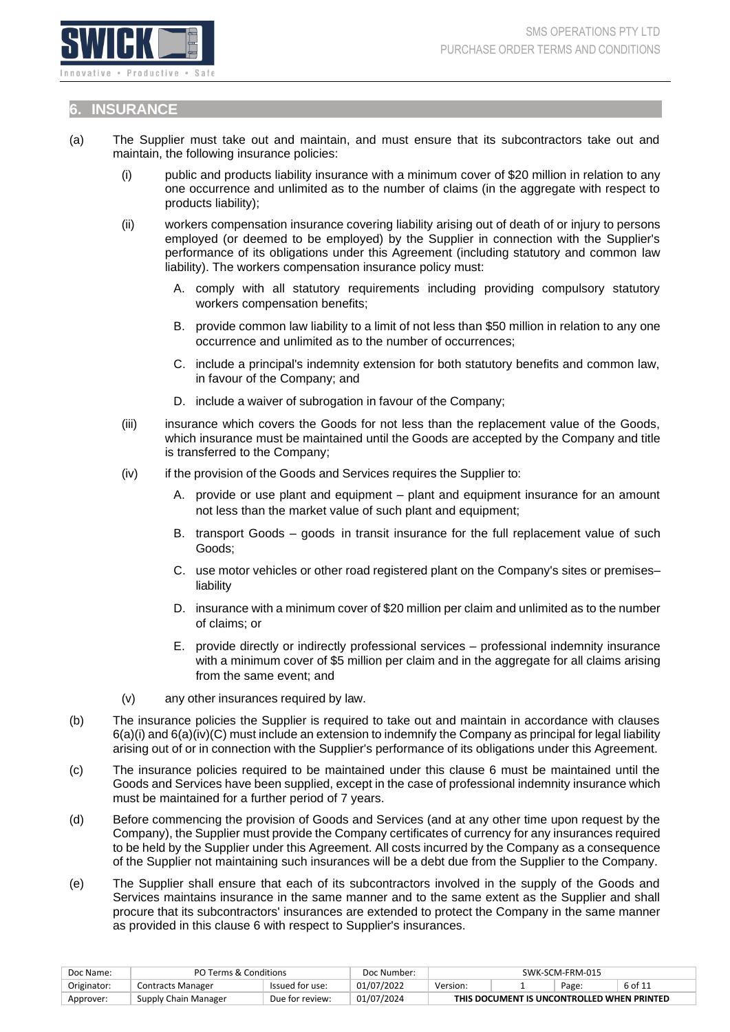

#### <span id="page-5-0"></span>**6. INSURANCE**

- <span id="page-5-1"></span>(a) The Supplier must take out and maintain, and must ensure that its subcontractors take out and maintain, the following insurance policies:
	- (i) public and products liability insurance with a minimum cover of \$20 million in relation to any one occurrence and unlimited as to the number of claims (in the aggregate with respect to products liability);
	- (ii) workers compensation insurance covering liability arising out of death of or injury to persons employed (or deemed to be employed) by the Supplier in connection with the Supplier's performance of its obligations under this Agreement (including statutory and common law liability). The workers compensation insurance policy must:
		- A. comply with all statutory requirements including providing compulsory statutory workers compensation benefits;
		- B. provide common law liability to a limit of not less than \$50 million in relation to any one occurrence and unlimited as to the number of occurrences;
		- C. include a principal's indemnity extension for both statutory benefits and common law, in favour of the Company; and
		- D. include a waiver of subrogation in favour of the Company;
	- (iii) insurance which covers the Goods for not less than the replacement value of the Goods, which insurance must be maintained until the Goods are accepted by the Company and title is transferred to the Company;
	- (iv) if the provision of the Goods and Services requires the Supplier to:
		- A. provide or use plant and equipment plant and equipment insurance for an amount not less than the market value of such plant and equipment;
		- B. transport Goods goods in transit insurance for the full replacement value of such Goods;
		- C. use motor vehicles or other road registered plant on the Company's sites or premises– liability
		- D. insurance with a minimum cover of \$20 million per claim and unlimited as to the number of claims; or
		- E. provide directly or indirectly professional services professional indemnity insurance with a minimum cover of \$5 million per claim and in the aggregate for all claims arising from the same event; and
	- (v) any other insurances required by law.
- <span id="page-5-2"></span>(b) The insurance policies the Supplier is required to take out and maintain in accordance with clauses [6\(a\)\(i\)](#page-5-1) and [6\(a\)\(iv\)\(C\)](#page-5-2) must include an extension to indemnify the Company as principal for legal liability arising out of or in connection with the Supplier's performance of its obligations under this Agreement.
- (c) The insurance policies required to be maintained under this clause 6 must be maintained until the Goods and Services have been supplied, except in the case of professional indemnity insurance which must be maintained for a further period of 7 years.
- (d) Before commencing the provision of Goods and Services (and at any other time upon request by the Company), the Supplier must provide the Company certificates of currency for any insurances required to be held by the Supplier under this Agreement. All costs incurred by the Company as a consequence of the Supplier not maintaining such insurances will be a debt due from the Supplier to the Company.
- (e) The Supplier shall ensure that each of its subcontractors involved in the supply of the Goods and Services maintains insurance in the same manner and to the same extent as the Supplier and shall procure that its subcontractors' insurances are extended to protect the Company in the same manner as provided in this clause 6 with respect to Supplier's insurances.

| Doc Name:   | PO Terms & Conditions |                 | Doc Number: | SWK-SCM-FRM-015                            |  |  |  |  |
|-------------|-----------------------|-----------------|-------------|--------------------------------------------|--|--|--|--|
| Originator: | Contracts Manager     | Issued for use: | 01/07/2022  | 6 of 11<br>Version:<br>Page:               |  |  |  |  |
| Approver:   | Supply Chain Manager  | Due for review: | 01/07/2024  | THIS DOCUMENT IS UNCONTROLLED WHEN PRINTED |  |  |  |  |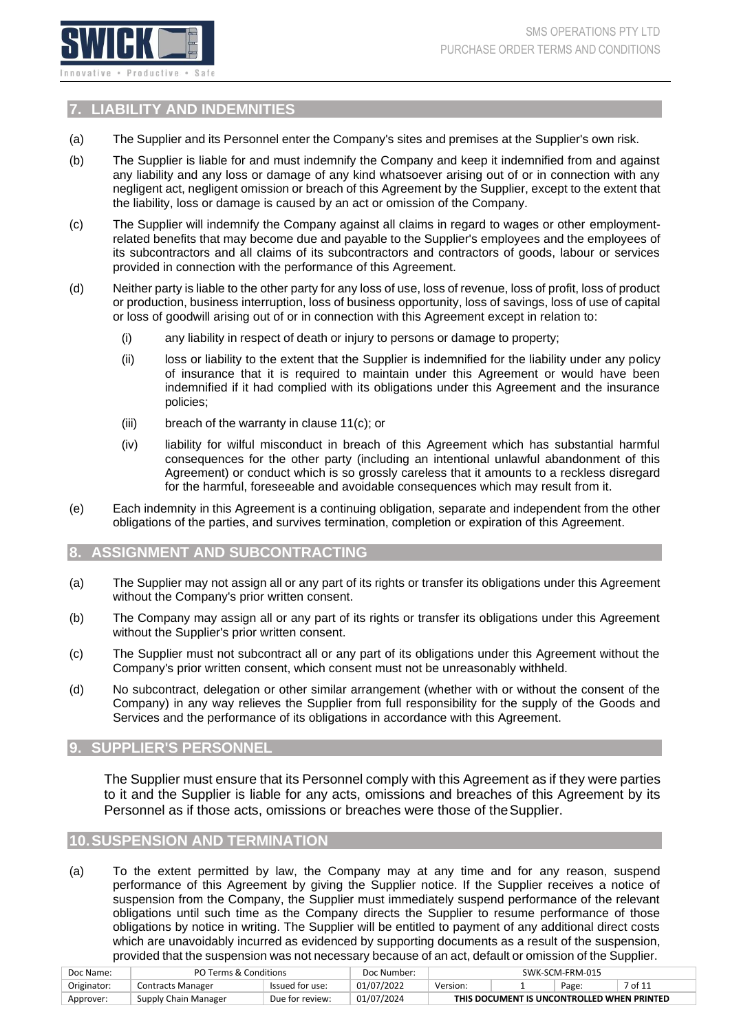

# <span id="page-6-4"></span><span id="page-6-0"></span>**7. LIABILITY AND INDEMNITIES**

- (a) The Supplier and its Personnel enter the Company's sites and premises at the Supplier's own risk.
- (b) The Supplier is liable for and must indemnify the Company and keep it indemnified from and against any liability and any loss or damage of any kind whatsoever arising out of or in connection with any negligent act, negligent omission or breach of this Agreement by the Supplier, except to the extent that the liability, loss or damage is caused by an act or omission of the Company.
- (c) The Supplier will indemnify the Company against all claims in regard to wages or other employmentrelated benefits that may become due and payable to the Supplier's employees and the employees of its subcontractors and all claims of its subcontractors and contractors of goods, labour or services provided in connection with the performance of this Agreement.
- (d) Neither party is liable to the other party for any loss of use, loss of revenue, loss of profit, loss of product or production, business interruption, loss of business opportunity, loss of savings, loss of use of capital or loss of goodwill arising out of or in connection with this Agreement except in relation to:
	- (i) any liability in respect of death or injury to persons or damage to property;
	- (ii) loss or liability to the extent that the Supplier is indemnified for the liability under any policy of insurance that it is required to maintain under this Agreement or would have been indemnified if it had complied with its obligations under this Agreement and the insurance policies;
	- (iii) breach of the warranty in clause [11\(c\);](#page-7-3) or
	- (iv) liability for wilful misconduct in breach of this Agreement which has substantial harmful consequences for the other party (including an intentional unlawful abandonment of this Agreement) or conduct which is so grossly careless that it amounts to a reckless disregard for the harmful, foreseeable and avoidable consequences which may result from it.
- (e) Each indemnity in this Agreement is a continuing obligation, separate and independent from the other obligations of the parties, and survives termination, completion or expiration of this Agreement.

#### <span id="page-6-1"></span>**8. ASSIGNMENT AND SUBCONTRACTING**

- (a) The Supplier may not assign all or any part of its rights or transfer its obligations under this Agreement without the Company's prior written consent.
- (b) The Company may assign all or any part of its rights or transfer its obligations under this Agreement without the Supplier's prior written consent.
- (c) The Supplier must not subcontract all or any part of its obligations under this Agreement without the Company's prior written consent, which consent must not be unreasonably withheld.
- (d) No subcontract, delegation or other similar arrangement (whether with or without the consent of the Company) in any way relieves the Supplier from full responsibility for the supply of the Goods and Services and the performance of its obligations in accordance with this Agreement.

## <span id="page-6-2"></span>**9. SUPPLIER'S PERSONNEL**

The Supplier must ensure that its Personnel comply with this Agreement as if they were parties to it and the Supplier is liable for any acts, omissions and breaches of this Agreement by its Personnel as if those acts, omissions or breaches were those of the Supplier.

#### <span id="page-6-3"></span>**10.SUSPENSION AND TERMINATION**

(a) To the extent permitted by law, the Company may at any time and for any reason, suspend performance of this Agreement by giving the Supplier notice. If the Supplier receives a notice of suspension from the Company, the Supplier must immediately suspend performance of the relevant obligations until such time as the Company directs the Supplier to resume performance of those obligations by notice in writing. The Supplier will be entitled to payment of any additional direct costs which are unavoidably incurred as evidenced by supporting documents as a result of the suspension, provided that the suspension was not necessary because of an act, default or omission of the Supplier.

| Doc Name:   | PO Terms & Conditions |                 | Doc Number: | SWK-SCM-FRM-015                            |         |  |  |  |
|-------------|-----------------------|-----------------|-------------|--------------------------------------------|---------|--|--|--|
| Originator: | Contracts Manager     | Issued for use: | 01/07/2022  | Version:                                   | 7 of 11 |  |  |  |
| Approver:   | Supply Chain Manager  | Due for review: | 01/07/2024  | THIS DOCUMENT IS UNCONTROLLED WHEN PRINTED |         |  |  |  |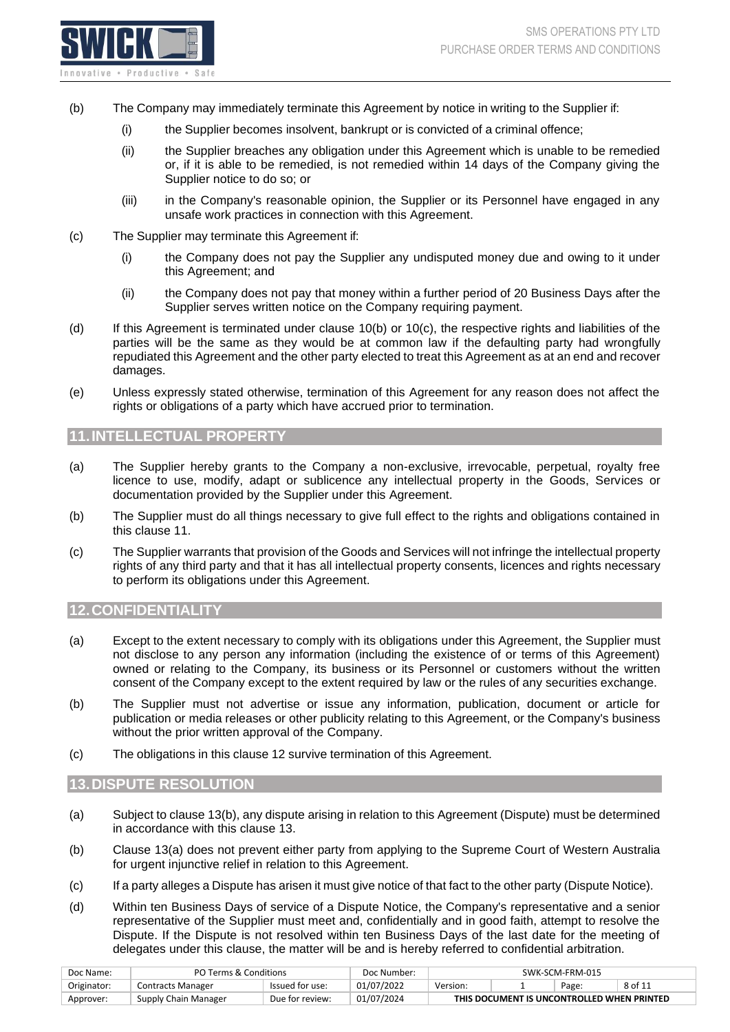

- (b) The Company may immediately terminate this Agreement by notice in writing to the Supplier if:
	- (i) the Supplier becomes insolvent, bankrupt or is convicted of a criminal offence;
	- (ii) the Supplier breaches any obligation under this Agreement which is unable to be remedied or, if it is able to be remedied, is not remedied within 14 days of the Company giving the Supplier notice to do so; or
	- (iii) in the Company's reasonable opinion, the Supplier or its Personnel have engaged in any unsafe work practices in connection with this Agreement.
- <span id="page-7-4"></span>(c) The Supplier may terminate this Agreement if:
	- (i) the Company does not pay the Supplier any undisputed money due and owing to it under this Agreement; and
	- (ii) the Company does not pay that money within a further period of 20 Business Days after the Supplier serves written notice on the Company requiring payment.
- (d) If this Agreement is terminated under clause [10\(b\) o](#page-6-4)r [10\(c\), t](#page-7-4)he respective rights and liabilities of the parties will be the same as they would be at common law if the defaulting party had wrongfully repudiated this Agreement and the other party elected to treat this Agreement as at an end and recover damages.
- (e) Unless expressly stated otherwise, termination of this Agreement for any reason does not affect the rights or obligations of a party which have accrued prior to termination.

## <span id="page-7-0"></span>**11.INTELLECTUAL PROPERTY**

- (a) The Supplier hereby grants to the Company a non-exclusive, irrevocable, perpetual, royalty free licence to use, modify, adapt or sublicence any intellectual property in the Goods, Services or documentation provided by the Supplier under this Agreement.
- (b) The Supplier must do all things necessary to give full effect to the rights and obligations contained in this clause 11.
- <span id="page-7-3"></span>(c) The Supplier warrants that provision of the Goods and Services will not infringe the intellectual property rights of any third party and that it has all intellectual property consents, licences and rights necessary to perform its obligations under this Agreement.

#### <span id="page-7-1"></span>**12.CONFIDENTIALITY**

- (a) Except to the extent necessary to comply with its obligations under this Agreement, the Supplier must not disclose to any person any information (including the existence of or terms of this Agreement) owned or relating to the Company, its business or its Personnel or customers without the written consent of the Company except to the extent required by law or the rules of any securities exchange.
- (b) The Supplier must not advertise or issue any information, publication, document or article for publication or media releases or other publicity relating to this Agreement, or the Company's business without the prior written approval of the Company.
- (c) The obligations in this clause 12 survive termination of this Agreement.

#### <span id="page-7-2"></span>**13.DISPUTE RESOLUTION**

- <span id="page-7-6"></span>(a) Subject to clause [13\(b\),](#page-7-5) any dispute arising in relation to this Agreement (Dispute) must be determined in accordance with this clause 13.
- <span id="page-7-5"></span>(b) Clause [13\(a\) d](#page-7-6)oes not prevent either party from applying to the Supreme Court of Western Australia for urgent injunctive relief in relation to this Agreement.
- (c) If a party alleges a Dispute has arisen it must give notice of that fact to the other party (Dispute Notice).
- (d) Within ten Business Days of service of a Dispute Notice, the Company's representative and a senior representative of the Supplier must meet and, confidentially and in good faith, attempt to resolve the Dispute. If the Dispute is not resolved within ten Business Days of the last date for the meeting of delegates under this clause, the matter will be and is hereby referred to confidential arbitration.

| Doc Name:   | PO Terms & Conditions    |                 | Doc Number: | SWK-SCM-FRM-015                            |  |  |  |  |
|-------------|--------------------------|-----------------|-------------|--------------------------------------------|--|--|--|--|
| Originator: | <b>Contracts Manager</b> | Issued for use: | 01/07/2022  | 8 of 11<br>Version:<br>Page:               |  |  |  |  |
| Approver:   | Supply Chain Manager     | Due for review: | 01/07/2024  | THIS DOCUMENT IS UNCONTROLLED WHEN PRINTED |  |  |  |  |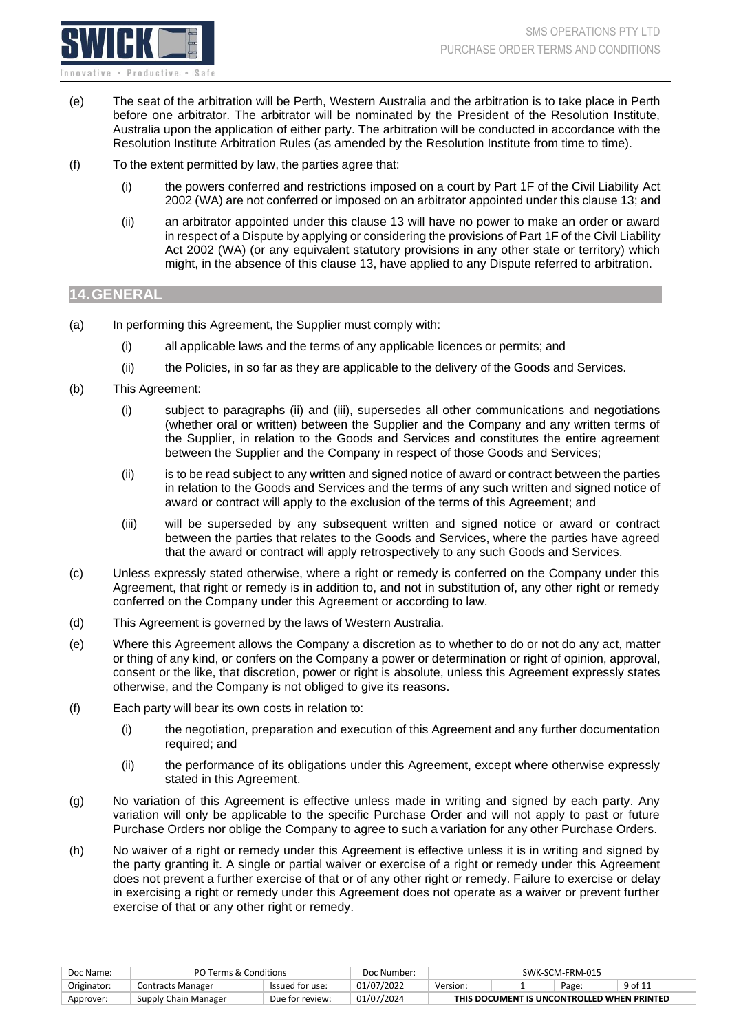

- (e) The seat of the arbitration will be Perth, Western Australia and the arbitration is to take place in Perth before one arbitrator. The arbitrator will be nominated by the President of the Resolution Institute, Australia upon the application of either party. The arbitration will be conducted in accordance with the Resolution Institute Arbitration Rules (as amended by the Resolution Institute from time to time).
- (f) To the extent permitted by law, the parties agree that:
	- (i) the powers conferred and restrictions imposed on a court by Part 1F of the Civil Liability Act 2002 (WA) are not conferred or imposed on an arbitrator appointed under this clause 13; and
	- (ii) an arbitrator appointed under this clause 13 will have no power to make an order or award in respect of a Dispute by applying or considering the provisions of Part 1F of the Civil Liability Act 2002 (WA) (or any equivalent statutory provisions in any other state or territory) which might, in the absence of this clause 13, have applied to any Dispute referred to arbitration.

#### <span id="page-8-0"></span>**14.GENERAL**

- (a) In performing this Agreement, the Supplier must comply with:
	- (i) all applicable laws and the terms of any applicable licences or permits; and
	- (ii) the Policies, in so far as they are applicable to the delivery of the Goods and Services.
- (b) This Agreement:
	- (i) subject to paragraphs (ii) and (iii), supersedes all other communications and negotiations (whether oral or written) between the Supplier and the Company and any written terms of the Supplier, in relation to the Goods and Services and constitutes the entire agreement between the Supplier and the Company in respect of those Goods and Services;
	- (ii) is to be read subject to any written and signed notice of award or contract between the parties in relation to the Goods and Services and the terms of any such written and signed notice of award or contract will apply to the exclusion of the terms of this Agreement; and
	- (iii) will be superseded by any subsequent written and signed notice or award or contract between the parties that relates to the Goods and Services, where the parties have agreed that the award or contract will apply retrospectively to any such Goods and Services.
- (c) Unless expressly stated otherwise, where a right or remedy is conferred on the Company under this Agreement, that right or remedy is in addition to, and not in substitution of, any other right or remedy conferred on the Company under this Agreement or according to law.
- (d) This Agreement is governed by the laws of Western Australia.
- (e) Where this Agreement allows the Company a discretion as to whether to do or not do any act, matter or thing of any kind, or confers on the Company a power or determination or right of opinion, approval, consent or the like, that discretion, power or right is absolute, unless this Agreement expressly states otherwise, and the Company is not obliged to give its reasons.
- (f) Each party will bear its own costs in relation to:
	- (i) the negotiation, preparation and execution of this Agreement and any further documentation required; and
	- (ii) the performance of its obligations under this Agreement, except where otherwise expressly stated in this Agreement.
- (g) No variation of this Agreement is effective unless made in writing and signed by each party. Any variation will only be applicable to the specific Purchase Order and will not apply to past or future Purchase Orders nor oblige the Company to agree to such a variation for any other Purchase Orders.
- (h) No waiver of a right or remedy under this Agreement is effective unless it is in writing and signed by the party granting it. A single or partial waiver or exercise of a right or remedy under this Agreement does not prevent a further exercise of that or of any other right or remedy. Failure to exercise or delay in exercising a right or remedy under this Agreement does not operate as a waiver or prevent further exercise of that or any other right or remedy.

| Doc Name:   | PO Terms & Conditions |                 | Doc Number: | SWK-SCM-FRM-015                            |  |       |         |  |
|-------------|-----------------------|-----------------|-------------|--------------------------------------------|--|-------|---------|--|
| Originator: | Contracts Manager     | Issued for use: | 01/07/2022  | Version:                                   |  | Page: | 9 of 11 |  |
| Approver:   | Supply Chain Manager  | Due for review: | 01/07/2024  | THIS DOCUMENT IS UNCONTROLLED WHEN PRINTED |  |       |         |  |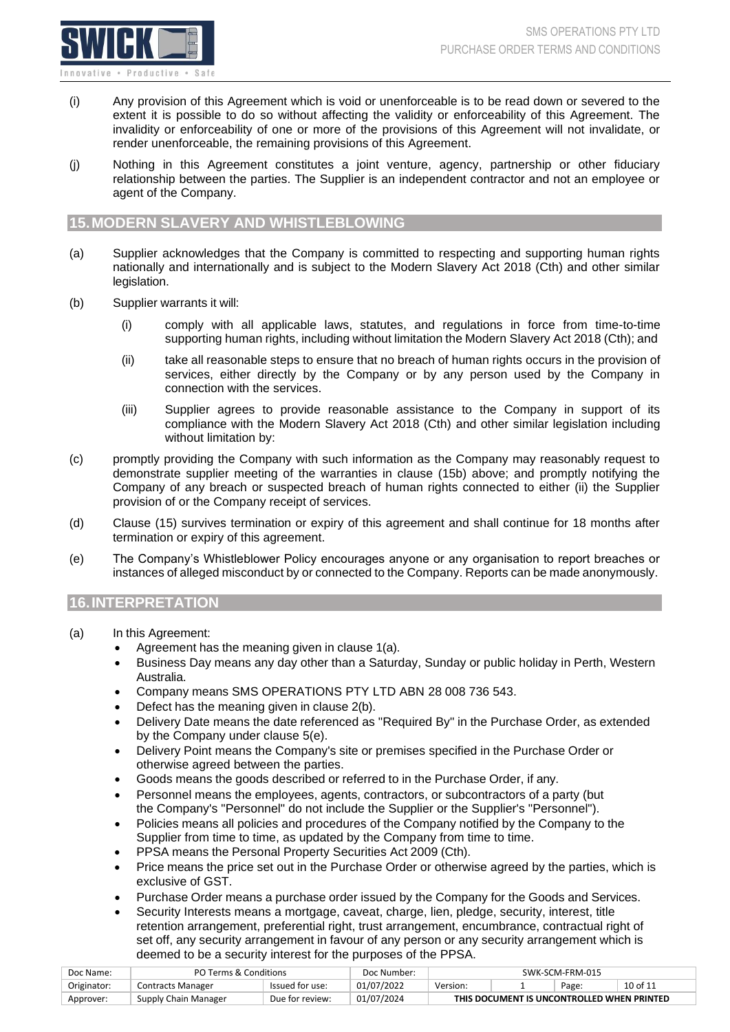

- (i) Any provision of this Agreement which is void or unenforceable is to be read down or severed to the extent it is possible to do so without affecting the validity or enforceability of this Agreement. The invalidity or enforceability of one or more of the provisions of this Agreement will not invalidate, or render unenforceable, the remaining provisions of this Agreement.
- (j) Nothing in this Agreement constitutes a joint venture, agency, partnership or other fiduciary relationship between the parties. The Supplier is an independent contractor and not an employee or agent of the Company.

#### <span id="page-9-0"></span>**15.MODERN SLAVERY AND WHISTLEBLOWING**

- (a) Supplier acknowledges that the Company is committed to respecting and supporting human rights nationally and internationally and is subject to the Modern Slavery Act 2018 (Cth) and other similar legislation.
- (b) Supplier warrants it will:
	- (i) comply with all applicable laws, statutes, and regulations in force from time-to-time supporting human rights, including without limitation the Modern Slavery Act 2018 (Cth); and
	- (ii) take all reasonable steps to ensure that no breach of human rights occurs in the provision of services, either directly by the Company or by any person used by the Company in connection with the services.
	- (iii) Supplier agrees to provide reasonable assistance to the Company in support of its compliance with the Modern Slavery Act 2018 (Cth) and other similar legislation including without limitation by:
- (c) promptly providing the Company with such information as the Company may reasonably request to demonstrate supplier meeting of the warranties in clause (15b) above; and promptly notifying the Company of any breach or suspected breach of human rights connected to either (ii) the Supplier provision of or the Company receipt of services.
- (d) Clause (15) survives termination or expiry of this agreement and shall continue for 18 months after termination or expiry of this agreement.
- (e) The Company's Whistleblower Policy encourages anyone or any organisation to report breaches or instances of alleged misconduct by or connected to the Company. Reports can be made anonymously.

# <span id="page-9-1"></span>**16.INTERPRETATION**

- (a) In this Agreement:
	- Agreement has the meaning given in clause [1\(a\).](#page-2-2)
	- Business Day means any day other than a Saturday, Sunday or public holiday in Perth, Western Australia.
	- Company means SMS OPERATIONS PTY LTD ABN 28 008 736 543.
	- Defect has the meaning given in clause [2\(b\).](#page-2-3)
	- Delivery Date means the date referenced as "Required By" in the Purchase Order, as extended by the Company under clause [5\(e\).](#page-4-1)
	- Delivery Point means the Company's site or premises specified in the Purchase Order or otherwise agreed between the parties.
	- Goods means the goods described or referred to in the Purchase Order, if any.
	- Personnel means the employees, agents, contractors, or subcontractors of a party (but the Company's "Personnel" do not include the Supplier or the Supplier's "Personnel").
	- Policies means all policies and procedures of the Company notified by the Company to the Supplier from time to time, as updated by the Company from time to time.
	- PPSA means the Personal Property Securities Act 2009 (Cth).
	- Price means the price set out in the Purchase Order or otherwise agreed by the parties, which is exclusive of GST.
	- Purchase Order means a purchase order issued by the Company for the Goods and Services.
	- Security Interests means a mortgage, caveat, charge, lien, pledge, security, interest, title retention arrangement, preferential right, trust arrangement, encumbrance, contractual right of set off, any security arrangement in favour of any person or any security arrangement which is deemed to be a security interest for the purposes of the PPSA.

| Doc Name:   | PO Terms & Conditions |                 | Doc Number: | SWK-SCM-FRM-015                            |  |  |  |  |  |
|-------------|-----------------------|-----------------|-------------|--------------------------------------------|--|--|--|--|--|
| Originator: | Contracts Manager     | Issued for use: | 01/07/2022  | 10 of 11<br>Page<br>Version:               |  |  |  |  |  |
| Approver:   | Supply Chain Manager  | Due for review: | 01/07/2024  | THIS DOCUMENT IS UNCONTROLLED WHEN PRINTED |  |  |  |  |  |